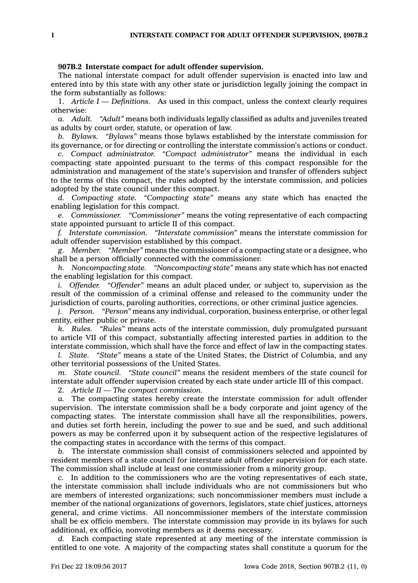## **907B.2 Interstate compact for adult offender supervision.**

The national interstate compact for adult offender supervision is enacted into law and entered into by this state with any other state or jurisdiction legally joining the compact in the form substantially as follows:

1. *Article I — Definitions.* As used in this compact, unless the context clearly requires otherwise:

*a. Adult. "Adult"* means both individuals legally classified as adults and juveniles treated as adults by court order, statute, or operation of law.

*b. Bylaws. "Bylaws"* means those bylaws established by the interstate commission for its governance, or for directing or controlling the interstate commission's actions or conduct.

*c. Compact administrator. "Compact administrator"* means the individual in each compacting state appointed pursuant to the terms of this compact responsible for the administration and management of the state's supervision and transfer of offenders subject to the terms of this compact, the rules adopted by the interstate commission, and policies adopted by the state council under this compact.

*d. Compacting state. "Compacting state"* means any state which has enacted the enabling legislation for this compact.

*e. Commissioner. "Commissioner"* means the voting representative of each compacting state appointed pursuant to article II of this compact.

*f. Interstate commission. "Interstate commission"* means the interstate commission for adult offender supervision established by this compact.

*g. Member. "Member"* means the commissioner of <sup>a</sup> compacting state or <sup>a</sup> designee, who shall be <sup>a</sup> person officially connected with the commissioner.

*h. Noncompacting state. "Noncompacting state"* means any state which has not enacted the enabling legislation for this compact.

*i. Offender. "Offender"* means an adult placed under, or subject to, supervision as the result of the commission of <sup>a</sup> criminal offense and released to the community under the jurisdiction of courts, paroling authorities, corrections, or other criminal justice agencies.

*j. Person. "Person"* means any individual, corporation, business enterprise, or other legal entity, either public or private.

*k. Rules. "Rules"* means acts of the interstate commission, duly promulgated pursuant to article VII of this compact, substantially affecting interested parties in addition to the interstate commission, which shall have the force and effect of law in the compacting states.

*l. State. "State"* means <sup>a</sup> state of the United States, the District of Columbia, and any other territorial possessions of the United States.

*m. State council. "State council"* means the resident members of the state council for interstate adult offender supervision created by each state under article III of this compact.

2. *Article II — The compact commission.*

*a.* The compacting states hereby create the interstate commission for adult offender supervision. The interstate commission shall be <sup>a</sup> body corporate and joint agency of the compacting states. The interstate commission shall have all the responsibilities, powers, and duties set forth herein, including the power to sue and be sued, and such additional powers as may be conferred upon it by subsequent action of the respective legislatures of the compacting states in accordance with the terms of this compact.

*b.* The interstate commission shall consist of commissioners selected and appointed by resident members of <sup>a</sup> state council for interstate adult offender supervision for each state. The commission shall include at least one commissioner from <sup>a</sup> minority group.

*c.* In addition to the commissioners who are the voting representatives of each state, the interstate commission shall include individuals who are not commissioners but who are members of interested organizations; such noncommissioner members must include <sup>a</sup> member of the national organizations of governors, legislators, state chief justices, attorneys general, and crime victims. All noncommissioner members of the interstate commission shall be ex officio members. The interstate commission may provide in its bylaws for such additional, ex officio, nonvoting members as it deems necessary.

*d.* Each compacting state represented at any meeting of the interstate commission is entitled to one vote. A majority of the compacting states shall constitute <sup>a</sup> quorum for the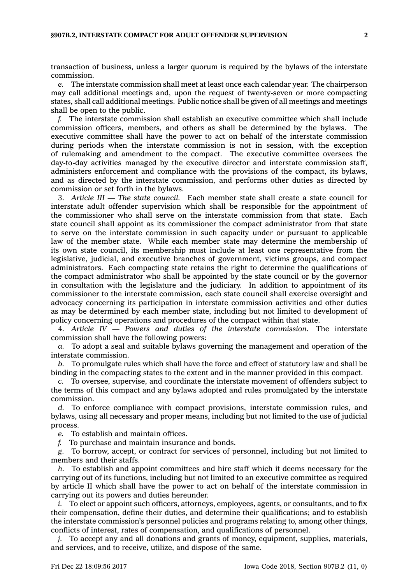transaction of business, unless <sup>a</sup> larger quorum is required by the bylaws of the interstate commission.

*e.* The interstate commission shall meet at least once each calendar year. The chairperson may call additional meetings and, upon the request of twenty-seven or more compacting states, shall call additional meetings. Public notice shall be given of all meetings and meetings shall be open to the public.

*f.* The interstate commission shall establish an executive committee which shall include commission officers, members, and others as shall be determined by the bylaws. The executive committee shall have the power to act on behalf of the interstate commission during periods when the interstate commission is not in session, with the exception of rulemaking and amendment to the compact. The executive committee oversees the day-to-day activities managed by the executive director and interstate commission staff, administers enforcement and compliance with the provisions of the compact, its bylaws, and as directed by the interstate commission, and performs other duties as directed by commission or set forth in the bylaws.

3. *Article III — The state council.* Each member state shall create <sup>a</sup> state council for interstate adult offender supervision which shall be responsible for the appointment of the commissioner who shall serve on the interstate commission from that state. Each state council shall appoint as its commissioner the compact administrator from that state to serve on the interstate commission in such capacity under or pursuant to applicable law of the member state. While each member state may determine the membership of its own state council, its membership must include at least one representative from the legislative, judicial, and executive branches of government, victims groups, and compact administrators. Each compacting state retains the right to determine the qualifications of the compact administrator who shall be appointed by the state council or by the governor in consultation with the legislature and the judiciary. In addition to appointment of its commissioner to the interstate commission, each state council shall exercise oversight and advocacy concerning its participation in interstate commission activities and other duties as may be determined by each member state, including but not limited to development of policy concerning operations and procedures of the compact within that state.

4. *Article IV — Powers and duties of the interstate commission.* The interstate commission shall have the following powers:

*a.* To adopt <sup>a</sup> seal and suitable bylaws governing the management and operation of the interstate commission.

*b.* To promulgate rules which shall have the force and effect of statutory law and shall be binding in the compacting states to the extent and in the manner provided in this compact.

*c.* To oversee, supervise, and coordinate the interstate movement of offenders subject to the terms of this compact and any bylaws adopted and rules promulgated by the interstate commission.

*d.* To enforce compliance with compact provisions, interstate commission rules, and bylaws, using all necessary and proper means, including but not limited to the use of judicial process.

*e.* To establish and maintain offices.

*f.* To purchase and maintain insurance and bonds.

*g.* To borrow, accept, or contract for services of personnel, including but not limited to members and their staffs.

*h.* To establish and appoint committees and hire staff which it deems necessary for the carrying out of its functions, including but not limited to an executive committee as required by article II which shall have the power to act on behalf of the interstate commission in carrying out its powers and duties hereunder.

*i.* To elect or appoint such officers, attorneys, employees, agents, or consultants, and to fix their compensation, define their duties, and determine their qualifications; and to establish the interstate commission's personnel policies and programs relating to, among other things, conflicts of interest, rates of compensation, and qualifications of personnel.

*j.* To accept any and all donations and grants of money, equipment, supplies, materials, and services, and to receive, utilize, and dispose of the same.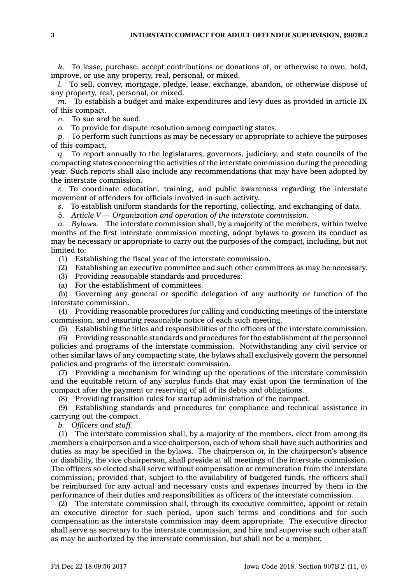*k.* To lease, purchase, accept contributions or donations of, or otherwise to own, hold, improve, or use any property, real, personal, or mixed.

*l.* To sell, convey, mortgage, pledge, lease, exchange, abandon, or otherwise dispose of any property, real, personal, or mixed.

*m.* To establish <sup>a</sup> budget and make expenditures and levy dues as provided in article IX of this compact.

*n.* To sue and be sued.

*o.* To provide for dispute resolution among compacting states.

*p.* To perform such functions as may be necessary or appropriate to achieve the purposes of this compact.

*q.* To report annually to the legislatures, governors, judiciary, and state councils of the compacting states concerning the activities of the interstate commission during the preceding year. Such reports shall also include any recommendations that may have been adopted by the interstate commission.

*r.* To coordinate education, training, and public awareness regarding the interstate movement of offenders for officials involved in such activity.

*s.* To establish uniform standards for the reporting, collecting, and exchanging of data.

5. *Article V — Organization and operation of the interstate commission.*

*a. Bylaws.* The interstate commission shall, by <sup>a</sup> majority of the members, within twelve months of the first interstate commission meeting, adopt bylaws to govern its conduct as may be necessary or appropriate to carry out the purposes of the compact, including, but not limited to:

(1) Establishing the fiscal year of the interstate commission.

(2) Establishing an executive committee and such other committees as may be necessary.

(3) Providing reasonable standards and procedures:

(a) For the establishment of committees.

(b) Governing any general or specific delegation of any authority or function of the interstate commission.

(4) Providing reasonable procedures for calling and conducting meetings of the interstate commission, and ensuring reasonable notice of each such meeting.

(5) Establishing the titles and responsibilities of the officers of the interstate commission.

(6) Providing reasonable standards and procedures for the establishment of the personnel policies and programs of the interstate commission. Notwithstanding any civil service or other similar laws of any compacting state, the bylaws shall exclusively govern the personnel policies and programs of the interstate commission.

(7) Providing <sup>a</sup> mechanism for winding up the operations of the interstate commission and the equitable return of any surplus funds that may exist upon the termination of the compact after the payment or reserving of all of its debts and obligations.

(8) Providing transition rules for startup administration of the compact.

(9) Establishing standards and procedures for compliance and technical assistance in carrying out the compact.

*b. Officers and staff.*

(1) The interstate commission shall, by <sup>a</sup> majority of the members, elect from among its members <sup>a</sup> chairperson and <sup>a</sup> vice chairperson, each of whom shall have such authorities and duties as may be specified in the bylaws. The chairperson or, in the chairperson's absence or disability, the vice chairperson, shall preside at all meetings of the interstate commission. The officers so elected shall serve without compensation or remuneration from the interstate commission; provided that, subject to the availability of budgeted funds, the officers shall be reimbursed for any actual and necessary costs and expenses incurred by them in the performance of their duties and responsibilities as officers of the interstate commission.

(2) The interstate commission shall, through its executive committee, appoint or retain an executive director for such period, upon such terms and conditions and for such compensation as the interstate commission may deem appropriate. The executive director shall serve as secretary to the interstate commission, and hire and supervise such other staff as may be authorized by the interstate commission, but shall not be <sup>a</sup> member.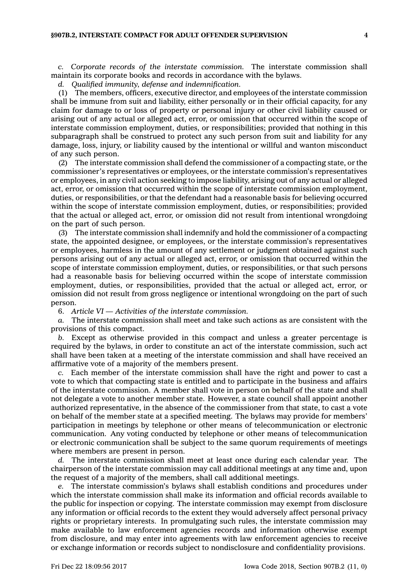*c. Corporate records of the interstate commission.* The interstate commission shall maintain its corporate books and records in accordance with the bylaws.

*d. Qualified immunity, defense and indemnification.*

(1) The members, officers, executive director, and employees of the interstate commission shall be immune from suit and liability, either personally or in their official capacity, for any claim for damage to or loss of property or personal injury or other civil liability caused or arising out of any actual or alleged act, error, or omission that occurred within the scope of interstate commission employment, duties, or responsibilities; provided that nothing in this subparagraph shall be construed to protect any such person from suit and liability for any damage, loss, injury, or liability caused by the intentional or willful and wanton misconduct of any such person.

(2) The interstate commission shall defend the commissioner of <sup>a</sup> compacting state, or the commissioner's representatives or employees, or the interstate commission's representatives or employees, in any civil action seeking to impose liability, arising out of any actual or alleged act, error, or omission that occurred within the scope of interstate commission employment, duties, or responsibilities, or that the defendant had <sup>a</sup> reasonable basis for believing occurred within the scope of interstate commission employment, duties, or responsibilities; provided that the actual or alleged act, error, or omission did not result from intentional wrongdoing on the part of such person.

(3) The interstate commission shall indemnify and hold the commissioner of <sup>a</sup> compacting state, the appointed designee, or employees, or the interstate commission's representatives or employees, harmless in the amount of any settlement or judgment obtained against such persons arising out of any actual or alleged act, error, or omission that occurred within the scope of interstate commission employment, duties, or responsibilities, or that such persons had <sup>a</sup> reasonable basis for believing occurred within the scope of interstate commission employment, duties, or responsibilities, provided that the actual or alleged act, error, or omission did not result from gross negligence or intentional wrongdoing on the part of such person.

6. *Article VI —Activities of the interstate commission.*

*a.* The interstate commission shall meet and take such actions as are consistent with the provisions of this compact.

*b.* Except as otherwise provided in this compact and unless <sup>a</sup> greater percentage is required by the bylaws, in order to constitute an act of the interstate commission, such act shall have been taken at <sup>a</sup> meeting of the interstate commission and shall have received an affirmative vote of <sup>a</sup> majority of the members present.

*c.* Each member of the interstate commission shall have the right and power to cast <sup>a</sup> vote to which that compacting state is entitled and to participate in the business and affairs of the interstate commission. A member shall vote in person on behalf of the state and shall not delegate <sup>a</sup> vote to another member state. However, <sup>a</sup> state council shall appoint another authorized representative, in the absence of the commissioner from that state, to cast <sup>a</sup> vote on behalf of the member state at <sup>a</sup> specified meeting. The bylaws may provide for members' participation in meetings by telephone or other means of telecommunication or electronic communication. Any voting conducted by telephone or other means of telecommunication or electronic communication shall be subject to the same quorum requirements of meetings where members are present in person.

*d.* The interstate commission shall meet at least once during each calendar year. The chairperson of the interstate commission may call additional meetings at any time and, upon the request of <sup>a</sup> majority of the members, shall call additional meetings.

*e.* The interstate commission's bylaws shall establish conditions and procedures under which the interstate commission shall make its information and official records available to the public for inspection or copying. The interstate commission may exempt from disclosure any information or official records to the extent they would adversely affect personal privacy rights or proprietary interests. In promulgating such rules, the interstate commission may make available to law enforcement agencies records and information otherwise exempt from disclosure, and may enter into agreements with law enforcement agencies to receive or exchange information or records subject to nondisclosure and confidentiality provisions.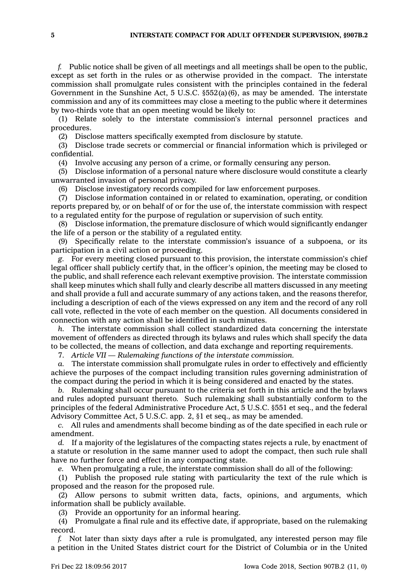*f.* Public notice shall be given of all meetings and all meetings shall be open to the public, except as set forth in the rules or as otherwise provided in the compact. The interstate commission shall promulgate rules consistent with the principles contained in the federal Government in the Sunshine Act, 5 U.S.C. §552(a)(6), as may be amended. The interstate commission and any of its committees may close <sup>a</sup> meeting to the public where it determines by two-thirds vote that an open meeting would be likely to:

(1) Relate solely to the interstate commission's internal personnel practices and procedures.

(2) Disclose matters specifically exempted from disclosure by statute.

(3) Disclose trade secrets or commercial or financial information which is privileged or confidential.

(4) Involve accusing any person of <sup>a</sup> crime, or formally censuring any person.

(5) Disclose information of <sup>a</sup> personal nature where disclosure would constitute <sup>a</sup> clearly unwarranted invasion of personal privacy.

(6) Disclose investigatory records compiled for law enforcement purposes.

(7) Disclose information contained in or related to examination, operating, or condition reports prepared by, or on behalf of or for the use of, the interstate commission with respect to <sup>a</sup> regulated entity for the purpose of regulation or supervision of such entity.

(8) Disclose information, the premature disclosure of which would significantly endanger the life of <sup>a</sup> person or the stability of <sup>a</sup> regulated entity.

(9) Specifically relate to the interstate commission's issuance of <sup>a</sup> subpoena, or its participation in <sup>a</sup> civil action or proceeding.

*g.* For every meeting closed pursuant to this provision, the interstate commission's chief legal officer shall publicly certify that, in the officer's opinion, the meeting may be closed to the public, and shall reference each relevant exemptive provision. The interstate commission shall keep minutes which shall fully and clearly describe all matters discussed in any meeting and shall provide <sup>a</sup> full and accurate summary of any actions taken, and the reasons therefor, including <sup>a</sup> description of each of the views expressed on any item and the record of any roll call vote, reflected in the vote of each member on the question. All documents considered in connection with any action shall be identified in such minutes.

*h.* The interstate commission shall collect standardized data concerning the interstate movement of offenders as directed through its bylaws and rules which shall specify the data to be collected, the means of collection, and data exchange and reporting requirements.

7. *Article VII — Rulemaking functions of the interstate commission.*

*a.* The interstate commission shall promulgate rules in order to effectively and efficiently achieve the purposes of the compact including transition rules governing administration of the compact during the period in which it is being considered and enacted by the states.

*b.* Rulemaking shall occur pursuant to the criteria set forth in this article and the bylaws and rules adopted pursuant thereto. Such rulemaking shall substantially conform to the principles of the federal Administrative Procedure Act, 5 U.S.C. §551 et seq., and the federal Advisory Committee Act, 5 U.S.C. app. 2, §1 et seq., as may be amended.

*c.* All rules and amendments shall become binding as of the date specified in each rule or amendment.

*d.* If <sup>a</sup> majority of the legislatures of the compacting states rejects <sup>a</sup> rule, by enactment of <sup>a</sup> statute or resolution in the same manner used to adopt the compact, then such rule shall have no further force and effect in any compacting state.

*e.* When promulgating <sup>a</sup> rule, the interstate commission shall do all of the following:

(1) Publish the proposed rule stating with particularity the text of the rule which is proposed and the reason for the proposed rule.

(2) Allow persons to submit written data, facts, opinions, and arguments, which information shall be publicly available.

(3) Provide an opportunity for an informal hearing.

(4) Promulgate <sup>a</sup> final rule and its effective date, if appropriate, based on the rulemaking record.

*f.* Not later than sixty days after <sup>a</sup> rule is promulgated, any interested person may file <sup>a</sup> petition in the United States district court for the District of Columbia or in the United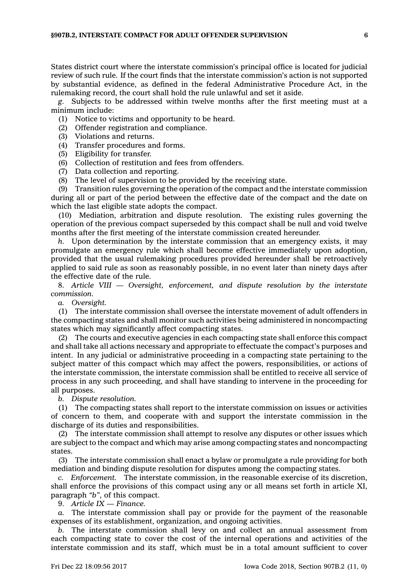States district court where the interstate commission's principal office is located for judicial review of such rule. If the court finds that the interstate commission's action is not supported by substantial evidence, as defined in the federal Administrative Procedure Act, in the rulemaking record, the court shall hold the rule unlawful and set it aside.

*g.* Subjects to be addressed within twelve months after the first meeting must at <sup>a</sup> minimum include:

(1) Notice to victims and opportunity to be heard.

(2) Offender registration and compliance.

(3) Violations and returns.

(4) Transfer procedures and forms.

(5) Eligibility for transfer.

(6) Collection of restitution and fees from offenders.

(7) Data collection and reporting.

(8) The level of supervision to be provided by the receiving state.

(9) Transition rules governing the operation of the compact and the interstate commission during all or part of the period between the effective date of the compact and the date on which the last eligible state adopts the compact.

(10) Mediation, arbitration and dispute resolution. The existing rules governing the operation of the previous compact superseded by this compact shall be null and void twelve months after the first meeting of the interstate commission created hereunder.

*h.* Upon determination by the interstate commission that an emergency exists, it may promulgate an emergency rule which shall become effective immediately upon adoption, provided that the usual rulemaking procedures provided hereunder shall be retroactively applied to said rule as soon as reasonably possible, in no event later than ninety days after the effective date of the rule.

8. *Article VIII — Oversight, enforcement, and dispute resolution by the interstate commission.*

*a. Oversight.*

(1) The interstate commission shall oversee the interstate movement of adult offenders in the compacting states and shall monitor such activities being administered in noncompacting states which may significantly affect compacting states.

(2) The courts and executive agencies in each compacting state shall enforce this compact and shall take all actions necessary and appropriate to effectuate the compact's purposes and intent. In any judicial or administrative proceeding in <sup>a</sup> compacting state pertaining to the subject matter of this compact which may affect the powers, responsibilities, or actions of the interstate commission, the interstate commission shall be entitled to receive all service of process in any such proceeding, and shall have standing to intervene in the proceeding for all purposes.

*b. Dispute resolution.*

(1) The compacting states shall report to the interstate commission on issues or activities of concern to them, and cooperate with and support the interstate commission in the discharge of its duties and responsibilities.

(2) The interstate commission shall attempt to resolve any disputes or other issues which are subject to the compact and which may arise among compacting states and noncompacting states.

(3) The interstate commission shall enact <sup>a</sup> bylaw or promulgate <sup>a</sup> rule providing for both mediation and binding dispute resolution for disputes among the compacting states.

*c. Enforcement.* The interstate commission, in the reasonable exercise of its discretion, shall enforce the provisions of this compact using any or all means set forth in article XI, paragraph *"b"*, of this compact.

9. *Article IX — Finance.*

*a.* The interstate commission shall pay or provide for the payment of the reasonable expenses of its establishment, organization, and ongoing activities.

*b.* The interstate commission shall levy on and collect an annual assessment from each compacting state to cover the cost of the internal operations and activities of the interstate commission and its staff, which must be in <sup>a</sup> total amount sufficient to cover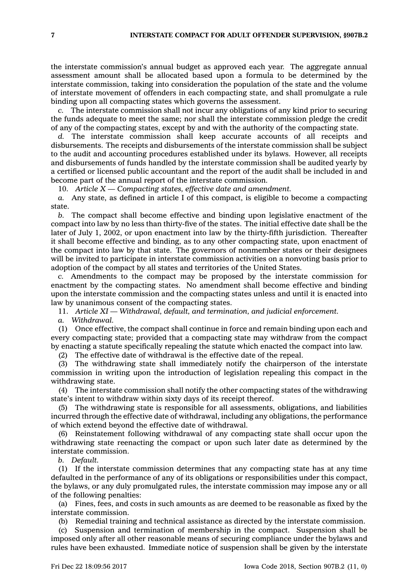the interstate commission's annual budget as approved each year. The aggregate annual assessment amount shall be allocated based upon <sup>a</sup> formula to be determined by the interstate commission, taking into consideration the population of the state and the volume of interstate movement of offenders in each compacting state, and shall promulgate <sup>a</sup> rule binding upon all compacting states which governs the assessment.

*c.* The interstate commission shall not incur any obligations of any kind prior to securing the funds adequate to meet the same; nor shall the interstate commission pledge the credit of any of the compacting states, except by and with the authority of the compacting state.

*d.* The interstate commission shall keep accurate accounts of all receipts and disbursements. The receipts and disbursements of the interstate commission shall be subject to the audit and accounting procedures established under its bylaws. However, all receipts and disbursements of funds handled by the interstate commission shall be audited yearly by <sup>a</sup> certified or licensed public accountant and the report of the audit shall be included in and become part of the annual report of the interstate commission.

10. *Article X — Compacting states, effective date and amendment.*

*a.* Any state, as defined in article I of this compact, is eligible to become <sup>a</sup> compacting state.

*b.* The compact shall become effective and binding upon legislative enactment of the compact into law by no less than thirty-five of the states. The initial effective date shall be the later of July 1, 2002, or upon enactment into law by the thirty-fifth jurisdiction. Thereafter it shall become effective and binding, as to any other compacting state, upon enactment of the compact into law by that state. The governors of nonmember states or their designees will be invited to participate in interstate commission activities on <sup>a</sup> nonvoting basis prior to adoption of the compact by all states and territories of the United States.

*c.* Amendments to the compact may be proposed by the interstate commission for enactment by the compacting states. No amendment shall become effective and binding upon the interstate commission and the compacting states unless and until it is enacted into law by unanimous consent of the compacting states.

11. *Article XI —Withdrawal, default, and termination, and judicial enforcement.*

*a. Withdrawal.*

(1) Once effective, the compact shall continue in force and remain binding upon each and every compacting state; provided that <sup>a</sup> compacting state may withdraw from the compact by enacting <sup>a</sup> statute specifically repealing the statute which enacted the compact into law.

(2) The effective date of withdrawal is the effective date of the repeal.

(3) The withdrawing state shall immediately notify the chairperson of the interstate commission in writing upon the introduction of legislation repealing this compact in the withdrawing state.

(4) The interstate commission shall notify the other compacting states of the withdrawing state's intent to withdraw within sixty days of its receipt thereof.

(5) The withdrawing state is responsible for all assessments, obligations, and liabilities incurred through the effective date of withdrawal, including any obligations, the performance of which extend beyond the effective date of withdrawal.

(6) Reinstatement following withdrawal of any compacting state shall occur upon the withdrawing state reenacting the compact or upon such later date as determined by the interstate commission.

*b. Default.*

(1) If the interstate commission determines that any compacting state has at any time defaulted in the performance of any of its obligations or responsibilities under this compact, the bylaws, or any duly promulgated rules, the interstate commission may impose any or all of the following penalties:

(a) Fines, fees, and costs in such amounts as are deemed to be reasonable as fixed by the interstate commission.

(b) Remedial training and technical assistance as directed by the interstate commission.

(c) Suspension and termination of membership in the compact. Suspension shall be imposed only after all other reasonable means of securing compliance under the bylaws and rules have been exhausted. Immediate notice of suspension shall be given by the interstate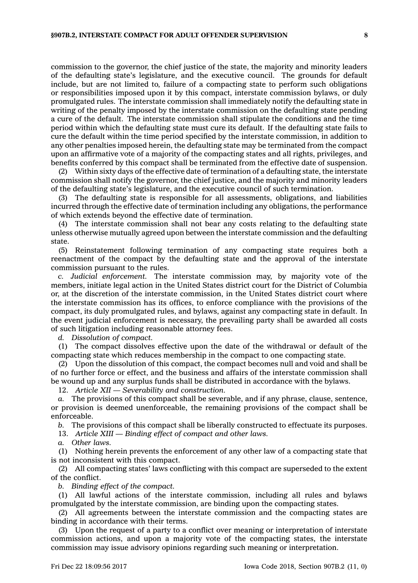commission to the governor, the chief justice of the state, the majority and minority leaders of the defaulting state's legislature, and the executive council. The grounds for default include, but are not limited to, failure of <sup>a</sup> compacting state to perform such obligations or responsibilities imposed upon it by this compact, interstate commission bylaws, or duly promulgated rules. The interstate commission shall immediately notify the defaulting state in writing of the penalty imposed by the interstate commission on the defaulting state pending <sup>a</sup> cure of the default. The interstate commission shall stipulate the conditions and the time period within which the defaulting state must cure its default. If the defaulting state fails to cure the default within the time period specified by the interstate commission, in addition to any other penalties imposed herein, the defaulting state may be terminated from the compact upon an affirmative vote of <sup>a</sup> majority of the compacting states and all rights, privileges, and benefits conferred by this compact shall be terminated from the effective date of suspension.

(2) Within sixty days of the effective date of termination of <sup>a</sup> defaulting state, the interstate commission shall notify the governor, the chief justice, and the majority and minority leaders of the defaulting state's legislature, and the executive council of such termination.

(3) The defaulting state is responsible for all assessments, obligations, and liabilities incurred through the effective date of termination including any obligations, the performance of which extends beyond the effective date of termination.

(4) The interstate commission shall not bear any costs relating to the defaulting state unless otherwise mutually agreed upon between the interstate commission and the defaulting state.

(5) Reinstatement following termination of any compacting state requires both <sup>a</sup> reenactment of the compact by the defaulting state and the approval of the interstate commission pursuant to the rules.

*c. Judicial enforcement.* The interstate commission may, by majority vote of the members, initiate legal action in the United States district court for the District of Columbia or, at the discretion of the interstate commission, in the United States district court where the interstate commission has its offices, to enforce compliance with the provisions of the compact, its duly promulgated rules, and bylaws, against any compacting state in default. In the event judicial enforcement is necessary, the prevailing party shall be awarded all costs of such litigation including reasonable attorney fees.

*d. Dissolution of compact.*

(1) The compact dissolves effective upon the date of the withdrawal or default of the compacting state which reduces membership in the compact to one compacting state.

(2) Upon the dissolution of this compact, the compact becomes null and void and shall be of no further force or effect, and the business and affairs of the interstate commission shall be wound up and any surplus funds shall be distributed in accordance with the bylaws.

12. *Article XII — Severability and construction.*

*a.* The provisions of this compact shall be severable, and if any phrase, clause, sentence, or provision is deemed unenforceable, the remaining provisions of the compact shall be enforceable.

*b.* The provisions of this compact shall be liberally constructed to effectuate its purposes.

13. *Article XIII —Binding effect of compact and other laws.*

*a. Other laws.*

(1) Nothing herein prevents the enforcement of any other law of <sup>a</sup> compacting state that is not inconsistent with this compact.

(2) All compacting states' laws conflicting with this compact are superseded to the extent of the conflict.

*b. Binding effect of the compact.*

(1) All lawful actions of the interstate commission, including all rules and bylaws promulgated by the interstate commission, are binding upon the compacting states.

(2) All agreements between the interstate commission and the compacting states are binding in accordance with their terms.

(3) Upon the request of <sup>a</sup> party to <sup>a</sup> conflict over meaning or interpretation of interstate commission actions, and upon <sup>a</sup> majority vote of the compacting states, the interstate commission may issue advisory opinions regarding such meaning or interpretation.